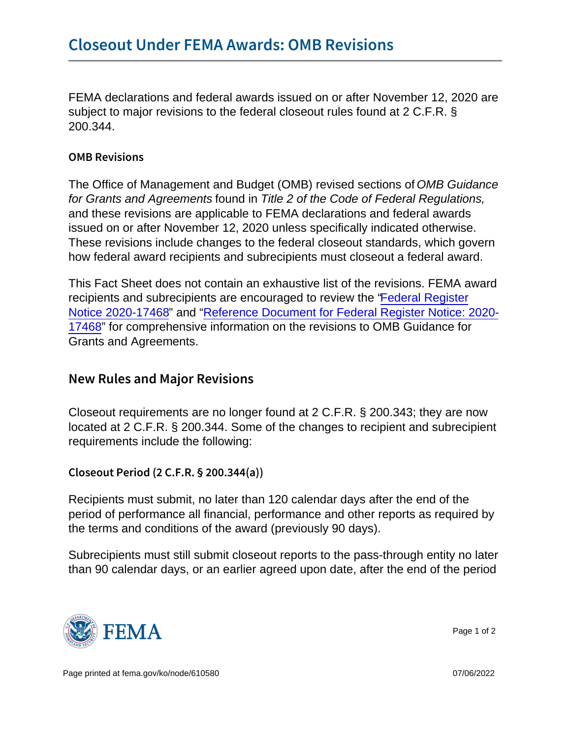FEMA declarations and federal awards issued on or after November 12, 2020 are subject to major revisions to the federal closeout rules found at 2 C.F.R. § 200.344.

## OMB Revisions

The Office of Management and Budget (OMB) revised sections of OMB Guidance for Grants and Agreements found in Title 2 of the Code of Federal Regulations, and these revisions are applicable to FEMA declarations and federal awards issued on or after November 12, 2020 unless specifically indicated otherwise. These revisions include changes to the federal closeout standards, which govern how federal award recipients and subrecipients must closeout a federal award.

This Fact Sheet does not contain an exhaustive list of the revisions. FEMA award recipients and subrecipients are encouraged to review the ["Federal Register](https://www.govinfo.gov/content/pkg/FR-2020-08-13/pdf/2020-17468.pdf) [Notice 2020-17468](https://www.govinfo.gov/content/pkg/FR-2020-08-13/pdf/2020-17468.pdf)" and ["Reference Document for Federal Register Notice: 2020-](https://trumpadministration.archives.performance.gov/CAP/20200812-2-CFR-Revision-Redline_Final.pdf) [17468"](https://trumpadministration.archives.performance.gov/CAP/20200812-2-CFR-Revision-Redline_Final.pdf) for comprehensive information on the revisions to OMB Guidance for Grants and Agreements.

## New Rules and Major Revisions

Closeout requirements are no longer found at 2 C.F.R. § 200.343; they are now located at 2 C.F.R. § 200.344. Some of the changes to recipient and subrecipient requirements include the following:

Closeout Period (2 C.F.R. § 200.344(a))

Recipients must submit, no later than 120 calendar days after the end of the period of performance all financial, performance and other reports as required by the terms and conditions of the award (previously 90 days).

Subrecipients must still submit closeout reports to the pass-through entity no later than 90 calendar days, or an earlier agreed upon date, after the end of the period



Page 1 of 2